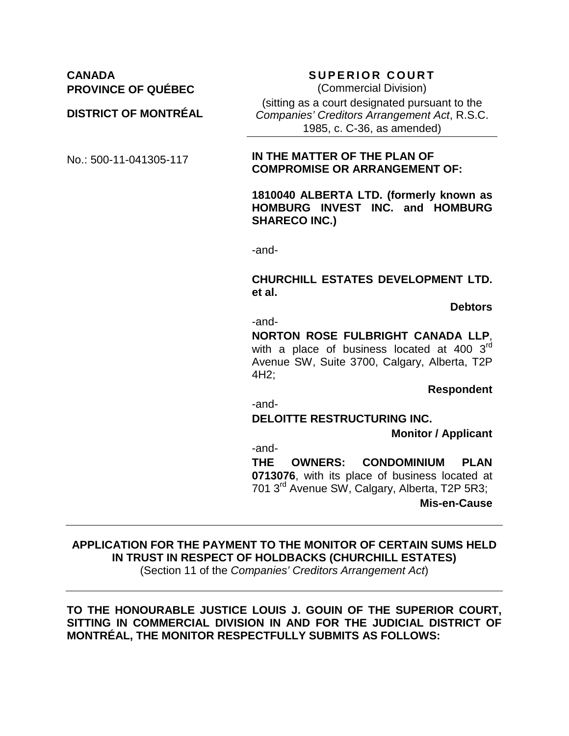## **CANADA SUPERIOR COURT PROVINCE OF QUÉBEC**

#### **DISTRICT OF MONTRÉAL**

(Commercial Division) (sitting as a court designated pursuant to the *Companies' Creditors Arrangement Act*, R.S.C. 1985, c. C-36, as amended)

#### No.: 500-11-041305-117 **IN THE MATTER OF THE PLAN OF COMPROMISE OR ARRANGEMENT OF:**

**1810040 ALBERTA LTD. (formerly known as HOMBURG INVEST INC. and HOMBURG SHARECO INC.)**

-and-

#### **CHURCHILL ESTATES DEVELOPMENT LTD. et al.**

**Debtors**

-and-

**NORTON ROSE FULBRIGHT CANADA LLP**, with a place of business located at 400  $3<sup>rd</sup>$ Avenue SW, Suite 3700, Calgary, Alberta, T2P 4H2;

**Respondent**

-and-

**DELOITTE RESTRUCTURING INC.**

**Monitor / Applicant**

-and-

**THE OWNERS: CONDOMINIUM PLAN 0713076**, with its place of business located at 701 3rd Avenue SW, Calgary, Alberta, T2P 5R3;

**Mis-en-Cause**

## **APPLICATION FOR THE PAYMENT TO THE MONITOR OF CERTAIN SUMS HELD IN TRUST IN RESPECT OF HOLDBACKS (CHURCHILL ESTATES)**

(Section 11 of the *Companies' Creditors Arrangement Act*)

#### **TO THE HONOURABLE JUSTICE LOUIS J. GOUIN OF THE SUPERIOR COURT, SITTING IN COMMERCIAL DIVISION IN AND FOR THE JUDICIAL DISTRICT OF MONTRÉAL, THE MONITOR RESPECTFULLY SUBMITS AS FOLLOWS:**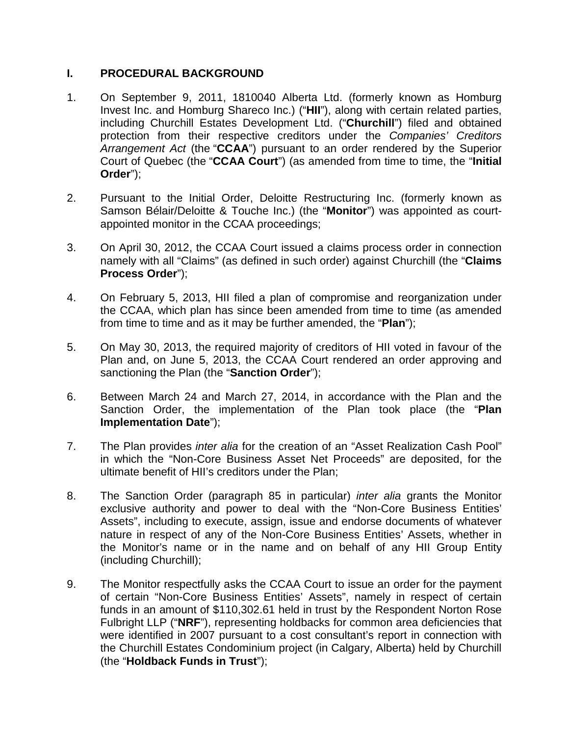## **I. PROCEDURAL BACKGROUND**

- 1. On September 9, 2011, 1810040 Alberta Ltd. (formerly known as Homburg Invest Inc. and Homburg Shareco Inc.) ("**HII**"), along with certain related parties, including Churchill Estates Development Ltd. ("**Churchill**") filed and obtained protection from their respective creditors under the *Companies' Creditors Arrangement Act* (the "**CCAA**") pursuant to an order rendered by the Superior Court of Quebec (the "**CCAA Court**") (as amended from time to time, the "**Initial Order**");
- 2. Pursuant to the Initial Order, Deloitte Restructuring Inc. (formerly known as Samson Bélair/Deloitte & Touche Inc.) (the "**Monitor**") was appointed as courtappointed monitor in the CCAA proceedings;
- 3. On April 30, 2012, the CCAA Court issued a claims process order in connection namely with all "Claims" (as defined in such order) against Churchill (the "**Claims Process Order**");
- 4. On February 5, 2013, HII filed a plan of compromise and reorganization under the CCAA, which plan has since been amended from time to time (as amended from time to time and as it may be further amended, the "**Plan**");
- 5. On May 30, 2013, the required majority of creditors of HII voted in favour of the Plan and, on June 5, 2013, the CCAA Court rendered an order approving and sanctioning the Plan (the "**Sanction Order**");
- 6. Between March 24 and March 27, 2014, in accordance with the Plan and the Sanction Order, the implementation of the Plan took place (the "**Plan Implementation Date**");
- 7. The Plan provides *inter alia* for the creation of an "Asset Realization Cash Pool" in which the "Non-Core Business Asset Net Proceeds" are deposited, for the ultimate benefit of HII's creditors under the Plan;
- 8. The Sanction Order (paragraph 85 in particular) *inter alia* grants the Monitor exclusive authority and power to deal with the "Non-Core Business Entities' Assets", including to execute, assign, issue and endorse documents of whatever nature in respect of any of the Non-Core Business Entities' Assets, whether in the Monitor's name or in the name and on behalf of any HII Group Entity (including Churchill);
- 9. The Monitor respectfully asks the CCAA Court to issue an order for the payment of certain "Non-Core Business Entities' Assets", namely in respect of certain funds in an amount of \$110,302.61 held in trust by the Respondent Norton Rose Fulbright LLP ("**NRF**"), representing holdbacks for common area deficiencies that were identified in 2007 pursuant to a cost consultant's report in connection with the Churchill Estates Condominium project (in Calgary, Alberta) held by Churchill (the "**Holdback Funds in Trust**");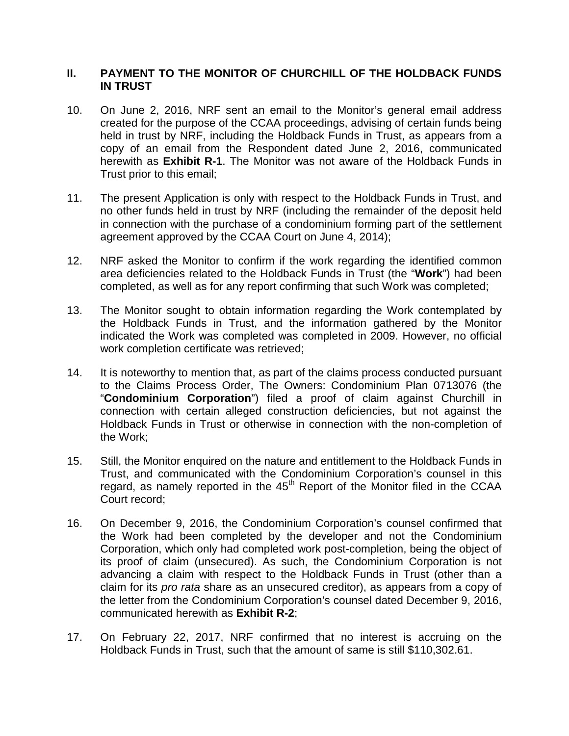#### **II. PAYMENT TO THE MONITOR OF CHURCHILL OF THE HOLDBACK FUNDS IN TRUST**

- 10. On June 2, 2016, NRF sent an email to the Monitor's general email address created for the purpose of the CCAA proceedings, advising of certain funds being held in trust by NRF, including the Holdback Funds in Trust, as appears from a copy of an email from the Respondent dated June 2, 2016, communicated herewith as **Exhibit R-1**. The Monitor was not aware of the Holdback Funds in Trust prior to this email;
- 11. The present Application is only with respect to the Holdback Funds in Trust, and no other funds held in trust by NRF (including the remainder of the deposit held in connection with the purchase of a condominium forming part of the settlement agreement approved by the CCAA Court on June 4, 2014);
- 12. NRF asked the Monitor to confirm if the work regarding the identified common area deficiencies related to the Holdback Funds in Trust (the "**Work**") had been completed, as well as for any report confirming that such Work was completed;
- 13. The Monitor sought to obtain information regarding the Work contemplated by the Holdback Funds in Trust, and the information gathered by the Monitor indicated the Work was completed was completed in 2009. However, no official work completion certificate was retrieved;
- 14. It is noteworthy to mention that, as part of the claims process conducted pursuant to the Claims Process Order, The Owners: Condominium Plan 0713076 (the "**Condominium Corporation**") filed a proof of claim against Churchill in connection with certain alleged construction deficiencies, but not against the Holdback Funds in Trust or otherwise in connection with the non-completion of the Work;
- 15. Still, the Monitor enquired on the nature and entitlement to the Holdback Funds in Trust, and communicated with the Condominium Corporation's counsel in this regard, as namely reported in the  $45<sup>th</sup>$  Report of the Monitor filed in the CCAA Court record;
- 16. On December 9, 2016, the Condominium Corporation's counsel confirmed that the Work had been completed by the developer and not the Condominium Corporation, which only had completed work post-completion, being the object of its proof of claim (unsecured). As such, the Condominium Corporation is not advancing a claim with respect to the Holdback Funds in Trust (other than a claim for its *pro rata* share as an unsecured creditor), as appears from a copy of the letter from the Condominium Corporation's counsel dated December 9, 2016, communicated herewith as **Exhibit R-2**;
- 17. On February 22, 2017, NRF confirmed that no interest is accruing on the Holdback Funds in Trust, such that the amount of same is still \$110,302.61.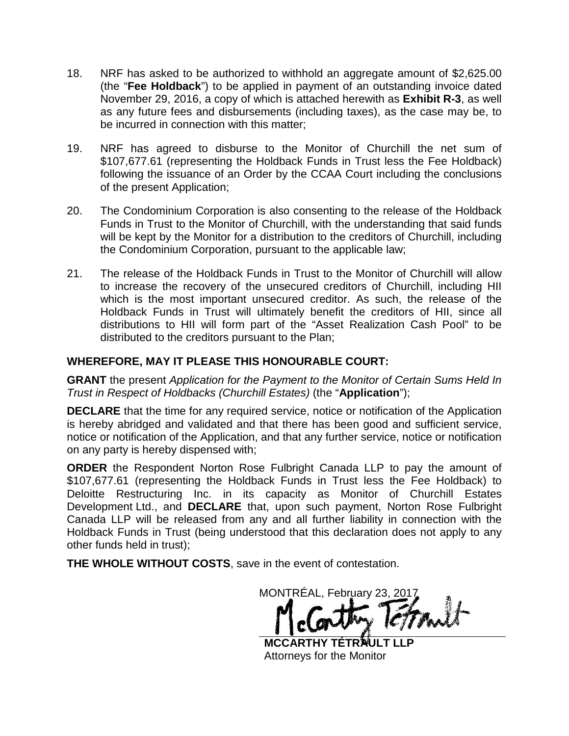- 18. NRF has asked to be authorized to withhold an aggregate amount of \$2,625.00 (the "**Fee Holdback**") to be applied in payment of an outstanding invoice dated November 29, 2016, a copy of which is attached herewith as **Exhibit R-3**, as well as any future fees and disbursements (including taxes), as the case may be, to be incurred in connection with this matter;
- 19. NRF has agreed to disburse to the Monitor of Churchill the net sum of \$107,677.61 (representing the Holdback Funds in Trust less the Fee Holdback) following the issuance of an Order by the CCAA Court including the conclusions of the present Application;
- 20. The Condominium Corporation is also consenting to the release of the Holdback Funds in Trust to the Monitor of Churchill, with the understanding that said funds will be kept by the Monitor for a distribution to the creditors of Churchill, including the Condominium Corporation, pursuant to the applicable law;
- 21. The release of the Holdback Funds in Trust to the Monitor of Churchill will allow to increase the recovery of the unsecured creditors of Churchill, including HII which is the most important unsecured creditor. As such, the release of the Holdback Funds in Trust will ultimately benefit the creditors of HII, since all distributions to HII will form part of the "Asset Realization Cash Pool" to be distributed to the creditors pursuant to the Plan;

### **WHEREFORE, MAY IT PLEASE THIS HONOURABLE COURT:**

**GRANT** the present *Application for the Payment to the Monitor of Certain Sums Held In Trust in Respect of Holdbacks (Churchill Estates)* (the "**Application**");

**DECLARE** that the time for any required service, notice or notification of the Application is hereby abridged and validated and that there has been good and sufficient service, notice or notification of the Application, and that any further service, notice or notification on any party is hereby dispensed with;

**ORDER** the Respondent Norton Rose Fulbright Canada LLP to pay the amount of \$107,677.61 (representing the Holdback Funds in Trust less the Fee Holdback) to Deloitte Restructuring Inc. in its capacity as Monitor of Churchill Estates Development Ltd., and **DECLARE** that, upon such payment, Norton Rose Fulbright Canada LLP will be released from any and all further liability in connection with the Holdback Funds in Trust (being understood that this declaration does not apply to any other funds held in trust);

**THE WHOLE WITHOUT COSTS**, save in the event of contestation.

MONTRÉAL, February 23, 2017

**MCCARTHY TÉTR<sup>N</sup>ULT** Attorneys for the Monitor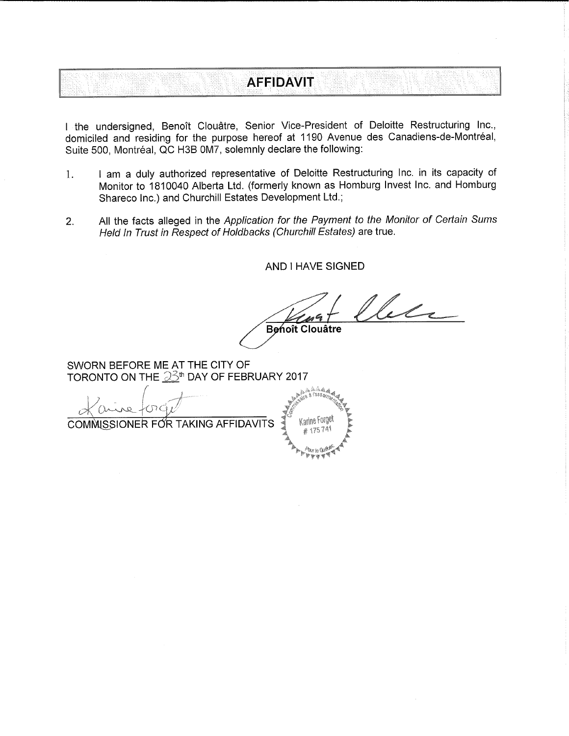# **AFFIDAVIT**

I the undersigned, Benoît Clouâtre, Senior Vice-President of Deloitte Restructuring Inc., domiciled and residing for the purpose hereof at 1190 Avenue des Canadiens-de-Montréal, Suite 500. Montréal. QC H3B 0M7, solemnly declare the following:

- I am a duly authorized representative of Deloitte Restructuring Inc. in its capacity of  $1.$ Monitor to 1810040 Alberta Ltd. (formerly known as Homburg Invest Inc. and Homburg Shareco Inc.) and Churchill Estates Development Ltd.;
- All the facts alleged in the Application for the Payment to the Monitor of Certain Sums  $2.$ Held In Trust in Respect of Holdbacks (Churchill Estates) are true.

**AND I HAVE SIGNED** 

lece Benoît Clouatre

SWORN BEFORE ME AT THE CITY OF TORONTO ON THE 33<sup>th</sup> DAY OF FEBRUARY 2017

COMMISSIONER FOR TAKING AFFIDAVITS

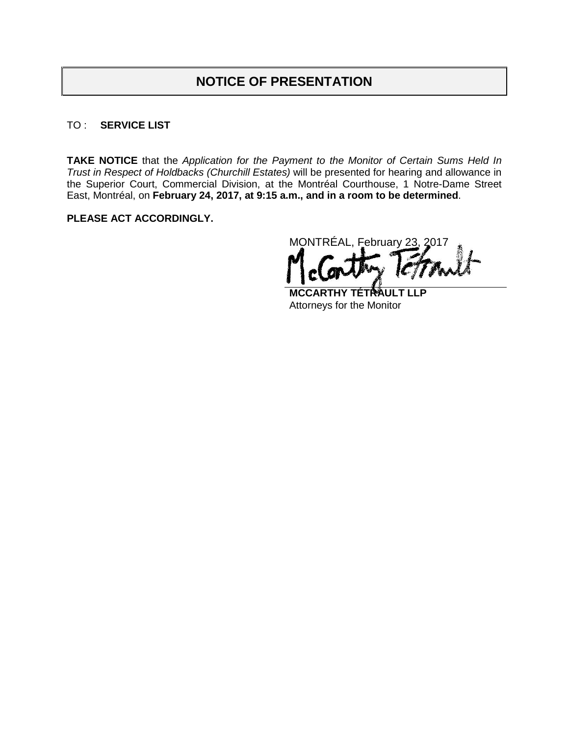# **NOTICE OF PRESENTATION**

#### TO : **SERVICE LIST**

**TAKE NOTICE** that the *Application for the Payment to the Monitor of Certain Sums Held In Trust in Respect of Holdbacks (Churchill Estates)* will be presented for hearing and allowance in the Superior Court, Commercial Division, at the Montréal Courthouse, 1 Notre-Dame Street East, Montréal, on **February 24, 2017, at 9:15 a.m., and in a room to be determined**.

#### **PLEASE ACT ACCORDINGLY.**

MONTRÉAL, February 23, 2017

**MCCARTHY TÉTRE** Attorneys for the Monitor